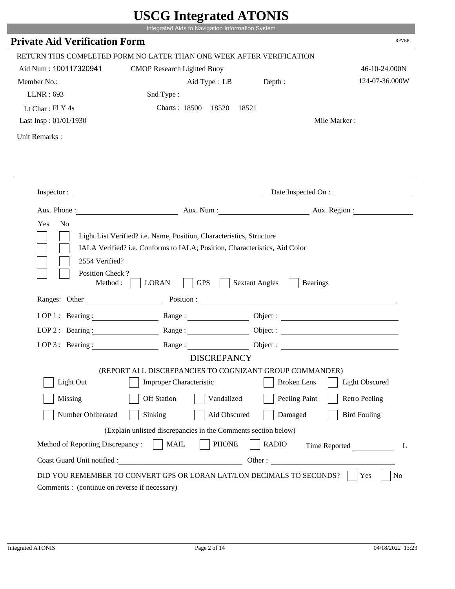|                                               | UDUU IIIIU ARUU ATUNID                                                                                                                             |                                          |                        |
|-----------------------------------------------|----------------------------------------------------------------------------------------------------------------------------------------------------|------------------------------------------|------------------------|
|                                               | Integrated Aids to Navigation Information System                                                                                                   |                                          |                        |
| <b>Private Aid Verification Form</b>          |                                                                                                                                                    |                                          | <b>RPVER</b>           |
|                                               | RETURN THIS COMPLETED FORM NO LATER THAN ONE WEEK AFTER VERIFICATION                                                                               |                                          |                        |
| Aid Num: 100117320941                         | <b>CMOP Research Lighted Buoy</b>                                                                                                                  |                                          | 46-10-24.000N          |
| Member No.:                                   | Aid Type : LB Depth :                                                                                                                              |                                          | 124-07-36.000W         |
| LLNR: 693                                     | Snd Type:                                                                                                                                          |                                          |                        |
| Lt Char: Fl Y 4s                              | Charts: 18500 18520                                                                                                                                | 18521                                    |                        |
| Last Insp: 01/01/1930                         |                                                                                                                                                    |                                          | Mile Marker:           |
| Unit Remarks:                                 |                                                                                                                                                    |                                          |                        |
|                                               |                                                                                                                                                    |                                          |                        |
|                                               |                                                                                                                                                    |                                          |                        |
|                                               | Inspector:                                                                                                                                         |                                          | Date Inspected On :    |
|                                               |                                                                                                                                                    |                                          | Aux. Num: Aux. Region: |
| Yes<br>N <sub>o</sub>                         | Light List Verified? i.e. Name, Position, Characteristics, Structure<br>IALA Verified? i.e. Conforms to IALA; Position, Characteristics, Aid Color |                                          |                        |
| 2554 Verified?<br>Position Check?<br>Method : | <b>GPS</b><br><b>LORAN</b>                                                                                                                         | <b>Sextant Angles</b><br><b>Bearings</b> |                        |
|                                               | Ranges: Other Position : Position : 2008                                                                                                           |                                          |                        |
| LOP 1 : Bearing :                             |                                                                                                                                                    |                                          |                        |
| LOP $2:$ Bearing :                            |                                                                                                                                                    |                                          | Object :               |
| $LOP$ 3 : Bearing :                           | Range:                                                                                                                                             |                                          | Object :               |
|                                               | <b>DISCREPANCY</b>                                                                                                                                 |                                          |                        |
|                                               | (REPORT ALL DISCREPANCIES TO COGNIZANT GROUP COMMANDER)                                                                                            |                                          |                        |
| Light Out                                     | <b>Improper Characteristic</b>                                                                                                                     | <b>Broken</b> Lens                       | <b>Light Obscured</b>  |
| Missing                                       | <b>Off Station</b><br>Vandalized                                                                                                                   | Peeling Paint                            | <b>Retro Peeling</b>   |
| Number Obliterated                            | Aid Obscured<br>Sinking                                                                                                                            | Damaged                                  | <b>Bird Fouling</b>    |
|                                               | (Explain unlisted discrepancies in the Comments section below)                                                                                     |                                          |                        |
| Method of Reporting Discrepancy:              | <b>PHONE</b><br><b>MAIL</b>                                                                                                                        | <b>RADIO</b>                             | Time Reported<br>L     |

L.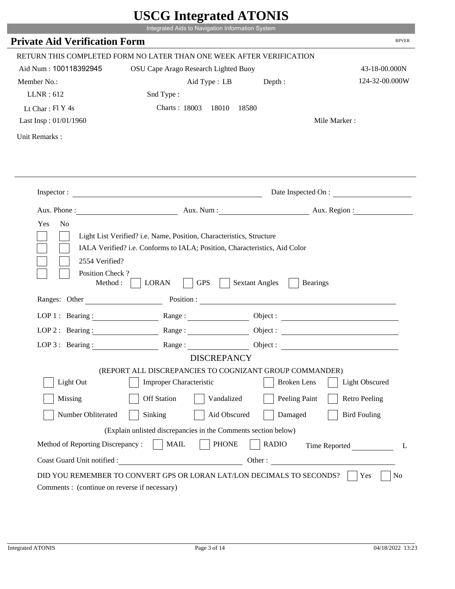|                                                                 | Integrated Aids to Navigation Information System                                                                                                   |                                          |                       |
|-----------------------------------------------------------------|----------------------------------------------------------------------------------------------------------------------------------------------------|------------------------------------------|-----------------------|
| <b>Private Aid Verification Form</b>                            |                                                                                                                                                    |                                          | <b>RPVER</b>          |
|                                                                 | RETURN THIS COMPLETED FORM NO LATER THAN ONE WEEK AFTER VERIFICATION                                                                               |                                          |                       |
| Aid Num: 100118392945                                           | OSU Cape Arago Research Lighted Buoy                                                                                                               |                                          | 43-18-00.000N         |
| Member No.:                                                     | Aid Type : LB                                                                                                                                      | Depth:                                   | 124-32-00.000W        |
| LLNR:612                                                        | Snd Type:                                                                                                                                          |                                          |                       |
| Lt Char: $FI Y 4s$                                              | Charts: 18003 18010                                                                                                                                | 18580                                    |                       |
| Last Insp: 01/01/1960                                           |                                                                                                                                                    |                                          | Mile Marker:          |
| Unit Remarks:                                                   |                                                                                                                                                    |                                          |                       |
|                                                                 | Inspector:                                                                                                                                         |                                          | Date Inspected On :   |
|                                                                 | Aux. Phone : Aux. Num : Aux. Num : Aux. Num : Aux. Region :                                                                                        |                                          |                       |
| Yes<br>N <sub>o</sub>                                           | Light List Verified? i.e. Name, Position, Characteristics, Structure<br>IALA Verified? i.e. Conforms to IALA; Position, Characteristics, Aid Color |                                          |                       |
| 2554 Verified?<br>Position Check?<br>Method : $\vert$           | <b>LORAN</b><br><b>GPS</b>                                                                                                                         | <b>Sextant Angles</b><br><b>Bearings</b> |                       |
| Ranges: Other                                                   |                                                                                                                                                    |                                          |                       |
|                                                                 | LOP 1: Bearing: Range:                                                                                                                             |                                          |                       |
| LOP 2: Bearing:                                                 |                                                                                                                                                    |                                          |                       |
|                                                                 | LOP 3: Bearing: Range: Range: Object:                                                                                                              |                                          |                       |
|                                                                 | <b>DISCREPANCY</b><br>(REPORT ALL DISCREPANCIES TO COGNIZANT GROUP COMMANDER)                                                                      |                                          |                       |
| Light Out                                                       | Improper Characteristic                                                                                                                            | <b>Broken</b> Lens                       | <b>Light Obscured</b> |
| Missing                                                         | <b>Off Station</b><br>Vandalized                                                                                                                   | Peeling Paint                            | <b>Retro Peeling</b>  |
| Number Obliterated                                              | Sinking<br>Aid Obscured                                                                                                                            | Damaged                                  | <b>Bird Fouling</b>   |
|                                                                 |                                                                                                                                                    |                                          |                       |
|                                                                 | (Explain unlisted discrepancies in the Comments section below)                                                                                     |                                          |                       |
| Method of Reporting Discrepancy:<br>Coast Guard Unit notified : | <b>MAIL</b><br><b>PHONE</b><br><u> 1989 - Johann Barbara, martxa eta politikar</u>                                                                 | <b>RADIO</b><br>Other:                   | Time Reported<br>L    |

p.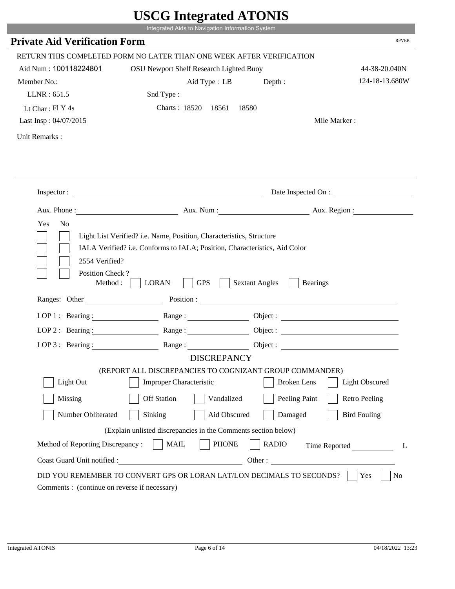|                                                                 | Integrated Aids to Navigation Information System                                                                                                   |                                          |                       |
|-----------------------------------------------------------------|----------------------------------------------------------------------------------------------------------------------------------------------------|------------------------------------------|-----------------------|
| <b>Private Aid Verification Form</b>                            |                                                                                                                                                    |                                          | <b>RPVER</b>          |
|                                                                 | RETURN THIS COMPLETED FORM NO LATER THAN ONE WEEK AFTER VERIFICATION                                                                               |                                          |                       |
| Aid Num: 100118224801                                           | OSU Newport Shelf Research Lighted Buoy                                                                                                            |                                          | 44-38-20.040N         |
| Member No.:                                                     | Aid Type : LB                                                                                                                                      | Depth:                                   | 124-18-13.680W        |
| LLNR: 651.5                                                     | Snd Type:                                                                                                                                          |                                          |                       |
| Lt Char: $FI Y 4s$                                              | Charts: 18520 18561                                                                                                                                | 18580                                    |                       |
| Last Insp: 04/07/2015                                           |                                                                                                                                                    |                                          | Mile Marker:          |
| Unit Remarks:                                                   |                                                                                                                                                    |                                          |                       |
|                                                                 |                                                                                                                                                    |                                          |                       |
|                                                                 | Inspector:                                                                                                                                         |                                          | Date Inspected On :   |
|                                                                 | Aux. Phone: Aux. Aux. Num : Aux. Aux. Region :                                                                                                     |                                          |                       |
| Yes<br>N <sub>o</sub><br>2554 Verified?                         | Light List Verified? i.e. Name, Position, Characteristics, Structure<br>IALA Verified? i.e. Conforms to IALA; Position, Characteristics, Aid Color |                                          |                       |
| Position Check?<br>Method :<br>Ranges: Other                    | <b>GPS</b><br><b>LORAN</b>                                                                                                                         | <b>Sextant Angles</b><br><b>Bearings</b> |                       |
|                                                                 |                                                                                                                                                    |                                          |                       |
|                                                                 | LOP 1: Bearing : Range :                                                                                                                           |                                          | Object:               |
| LOP 2 : Bearing :                                               |                                                                                                                                                    |                                          |                       |
|                                                                 | LOP 3: Bearing: Range: Range: Object:<br><b>DISCREPANCY</b>                                                                                        |                                          |                       |
|                                                                 | (REPORT ALL DISCREPANCIES TO COGNIZANT GROUP COMMANDER)                                                                                            |                                          |                       |
| Light Out                                                       | Improper Characteristic                                                                                                                            | <b>Broken</b> Lens                       | <b>Light Obscured</b> |
| Missing                                                         | <b>Off Station</b><br>Vandalized                                                                                                                   | Peeling Paint                            | <b>Retro Peeling</b>  |
| Number Obliterated                                              | Sinking<br>Aid Obscured                                                                                                                            | Damaged                                  | <b>Bird Fouling</b>   |
|                                                                 |                                                                                                                                                    |                                          |                       |
|                                                                 | (Explain unlisted discrepancies in the Comments section below)<br><b>PHONE</b><br><b>MAIL</b>                                                      | <b>RADIO</b>                             |                       |
| Method of Reporting Discrepancy:<br>Coast Guard Unit notified : |                                                                                                                                                    | Other:                                   | Time Reported<br>L    |

p.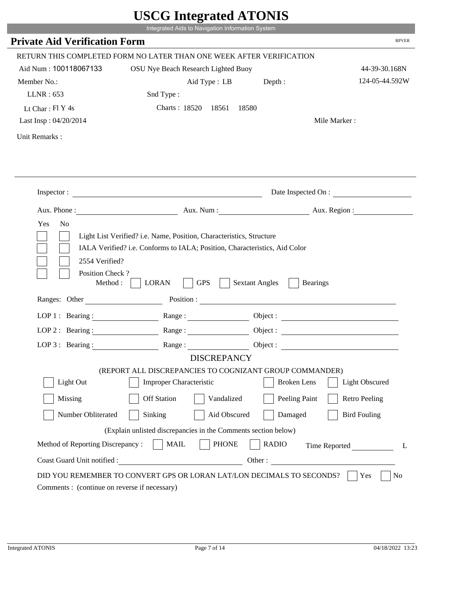|                                                                 | Integrated Aids to Navigation Information System                                                                                                   |                        |                       |
|-----------------------------------------------------------------|----------------------------------------------------------------------------------------------------------------------------------------------------|------------------------|-----------------------|
| <b>Private Aid Verification Form</b>                            |                                                                                                                                                    |                        | <b>RPVER</b>          |
|                                                                 | RETURN THIS COMPLETED FORM NO LATER THAN ONE WEEK AFTER VERIFICATION                                                                               |                        |                       |
| Aid Num: 100118067133                                           | OSU Nye Beach Research Lighted Buoy                                                                                                                |                        | 44-39-30.168N         |
| Member No.:                                                     | Aid Type : LB                                                                                                                                      | Depth:                 | 124-05-44.592W        |
| LLNR: 653                                                       | Snd Type:                                                                                                                                          |                        |                       |
| Lt Char: $FI Y 4s$                                              | Charts: 18520 18561                                                                                                                                | 18580                  |                       |
| Last Insp: 04/20/2014                                           |                                                                                                                                                    |                        | Mile Marker:          |
| Unit Remarks:                                                   |                                                                                                                                                    |                        |                       |
|                                                                 |                                                                                                                                                    |                        |                       |
|                                                                 | Inspector:                                                                                                                                         |                        | Date Inspected On :   |
|                                                                 | Aux. Phone: Aux. Aux. Num : Aux. Aux. Region :                                                                                                     |                        |                       |
| 2554 Verified?                                                  | Light List Verified? i.e. Name, Position, Characteristics, Structure<br>IALA Verified? i.e. Conforms to IALA; Position, Characteristics, Aid Color |                        |                       |
| Position Check?<br>Method :<br>Ranges: Other                    | <b>GPS</b><br><b>LORAN</b>                                                                                                                         | <b>Sextant Angles</b>  | <b>Bearings</b>       |
|                                                                 | LOP 1: Bearing : Range :                                                                                                                           |                        |                       |
|                                                                 |                                                                                                                                                    |                        | Object:               |
| LOP 2 : Bearing :                                               |                                                                                                                                                    |                        |                       |
|                                                                 | LOP 3: Bearing: Range: Name: Object:                                                                                                               |                        |                       |
|                                                                 | <b>DISCREPANCY</b><br>(REPORT ALL DISCREPANCIES TO COGNIZANT GROUP COMMANDER)                                                                      |                        |                       |
| Light Out                                                       | Improper Characteristic                                                                                                                            | <b>Broken</b> Lens     | <b>Light Obscured</b> |
| Missing                                                         | <b>Off Station</b><br>Vandalized                                                                                                                   | Peeling Paint          | <b>Retro Peeling</b>  |
| Number Obliterated                                              | Sinking<br>Aid Obscured                                                                                                                            | Damaged                | <b>Bird Fouling</b>   |
|                                                                 |                                                                                                                                                    |                        |                       |
|                                                                 | (Explain unlisted discrepancies in the Comments section below)                                                                                     |                        |                       |
| Method of Reporting Discrepancy:<br>Coast Guard Unit notified : | <b>PHONE</b><br><b>MAIL</b>                                                                                                                        | <b>RADIO</b><br>Other: | Time Reported<br>L    |

L.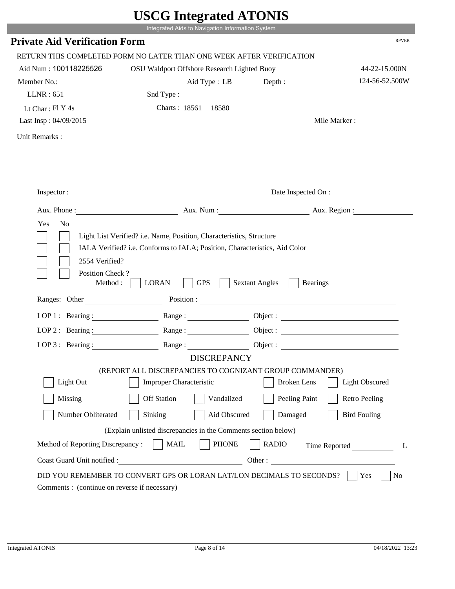|                                                       | Integrated Aids to Navigation Information System                                                                                                   | $\sim$                                   |                       |
|-------------------------------------------------------|----------------------------------------------------------------------------------------------------------------------------------------------------|------------------------------------------|-----------------------|
| <b>Private Aid Verification Form</b>                  |                                                                                                                                                    |                                          | <b>RPVER</b>          |
|                                                       | RETURN THIS COMPLETED FORM NO LATER THAN ONE WEEK AFTER VERIFICATION                                                                               |                                          |                       |
| Aid Num: 100118225526                                 | OSU Waldport Offshore Research Lighted Buoy                                                                                                        |                                          | 44-22-15.000N         |
| Member No.:                                           | Aid Type : LB                                                                                                                                      | Depth:                                   | 124-56-52.500W        |
| LLNR: 651                                             | Snd Type:                                                                                                                                          |                                          |                       |
| Lt Char: $FI Y 4s$                                    | Charts: 18561 18580                                                                                                                                |                                          |                       |
| Last Insp: 04/09/2015                                 |                                                                                                                                                    |                                          | Mile Marker:          |
| Unit Remarks:                                         |                                                                                                                                                    |                                          |                       |
|                                                       |                                                                                                                                                    |                                          |                       |
|                                                       |                                                                                                                                                    |                                          | Date Inspected On :   |
|                                                       | Aux. Phone: Aux. Num : Aux. Num : Aux. Region :                                                                                                    |                                          |                       |
| Yes<br>N <sub>o</sub>                                 | Light List Verified? i.e. Name, Position, Characteristics, Structure<br>IALA Verified? i.e. Conforms to IALA; Position, Characteristics, Aid Color |                                          |                       |
| 2554 Verified?<br>Position Check?<br>Method : $\vert$ | <b>GPS</b><br><b>LORAN</b>                                                                                                                         | <b>Sextant Angles</b><br><b>Bearings</b> |                       |
| Ranges: Other                                         |                                                                                                                                                    |                                          |                       |
|                                                       | LOP 1: Bearing: Range:                                                                                                                             |                                          |                       |
| LOP 2: Bearing:                                       |                                                                                                                                                    |                                          |                       |
|                                                       | LOP 3: Bearing: Range: Range: Object:                                                                                                              |                                          |                       |
|                                                       | <b>DISCREPANCY</b>                                                                                                                                 |                                          |                       |
| Light Out                                             | (REPORT ALL DISCREPANCIES TO COGNIZANT GROUP COMMANDER)<br>Improper Characteristic                                                                 | <b>Broken</b> Lens                       | <b>Light Obscured</b> |
|                                                       |                                                                                                                                                    |                                          |                       |
| Missing                                               | <b>Off Station</b><br>Vandalized                                                                                                                   | Peeling Paint                            | <b>Retro Peeling</b>  |
| Number Obliterated                                    | Sinking<br>Aid Obscured                                                                                                                            | Damaged                                  | <b>Bird Fouling</b>   |
|                                                       | (Explain unlisted discrepancies in the Comments section below)                                                                                     |                                          |                       |
| Method of Reporting Discrepancy:                      | <b>MAIL</b><br><b>PHONE</b>                                                                                                                        | <b>RADIO</b><br>Other:                   | Time Reported<br>L    |

i i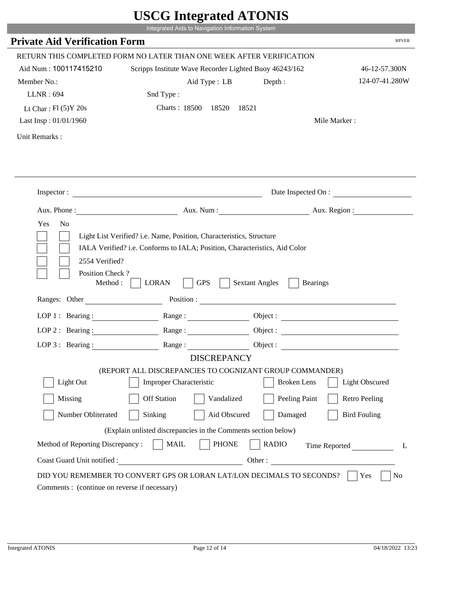|                                         |                                                                                                                                                    | UDUU MIULIUU ATUTID                      |                      |
|-----------------------------------------|----------------------------------------------------------------------------------------------------------------------------------------------------|------------------------------------------|----------------------|
|                                         | Integrated Aids to Navigation Information System                                                                                                   |                                          |                      |
| <b>Private Aid Verification Form</b>    |                                                                                                                                                    |                                          | <b>RPVER</b>         |
|                                         | RETURN THIS COMPLETED FORM NO LATER THAN ONE WEEK AFTER VERIFICATION                                                                               |                                          |                      |
| Aid Num: 100117415210                   | Scripps Institute Wave Recorder Lighted Buoy 46243/162                                                                                             |                                          | 46-12-57.300N        |
| Member No.:                             | Aid Type: LB                                                                                                                                       | Depth:                                   | 124-07-41.280W       |
| LLNR: 694                               | Snd Type:                                                                                                                                          |                                          |                      |
| Lt Char: $Fl(5)Y 20s$                   | Charts: 18500 18520                                                                                                                                | 18521                                    |                      |
| Last Insp: 01/01/1960                   |                                                                                                                                                    |                                          | Mile Marker:         |
| Unit Remarks:                           |                                                                                                                                                    |                                          |                      |
|                                         |                                                                                                                                                    |                                          |                      |
|                                         |                                                                                                                                                    |                                          |                      |
|                                         | Inspector:                                                                                                                                         |                                          | Date Inspected On :  |
|                                         |                                                                                                                                                    | Aux. Num: Aux. Region:                   |                      |
| Yes<br>N <sub>o</sub><br>2554 Verified? | Light List Verified? i.e. Name, Position, Characteristics, Structure<br>IALA Verified? i.e. Conforms to IALA; Position, Characteristics, Aid Color |                                          |                      |
| Position Check?<br>Method:              | <b>GPS</b><br><b>LORAN</b>                                                                                                                         | <b>Sextant Angles</b><br><b>Bearings</b> |                      |
| Ranges: Other                           |                                                                                                                                                    | Position :                               |                      |
| LOP 1 : Bearing :                       |                                                                                                                                                    |                                          |                      |
| LOP $2:$ Bearing :                      | Range:                                                                                                                                             |                                          |                      |
|                                         | LOP 3: Bearing: Range: Name: Object:                                                                                                               |                                          |                      |
|                                         | <b>DISCREPANCY</b>                                                                                                                                 |                                          |                      |
|                                         | (REPORT ALL DISCREPANCIES TO COGNIZANT GROUP COMMANDER)                                                                                            | <b>Broken</b> Lens                       |                      |
| Light Out                               | Improper Characteristic                                                                                                                            |                                          | Light Obscured       |
| Missing                                 | <b>Off Station</b><br>Vandalized                                                                                                                   | Peeling Paint                            | <b>Retro Peeling</b> |
| Number Obliterated                      | Sinking<br>Aid Obscured                                                                                                                            | Damaged                                  | <b>Bird Fouling</b>  |
|                                         | (Explain unlisted discrepancies in the Comments section below)                                                                                     |                                          |                      |
| Method of Reporting Discrepancy:        | <b>PHONE</b><br><b>MAIL</b>                                                                                                                        | <b>RADIO</b>                             | Time Reported<br>L   |